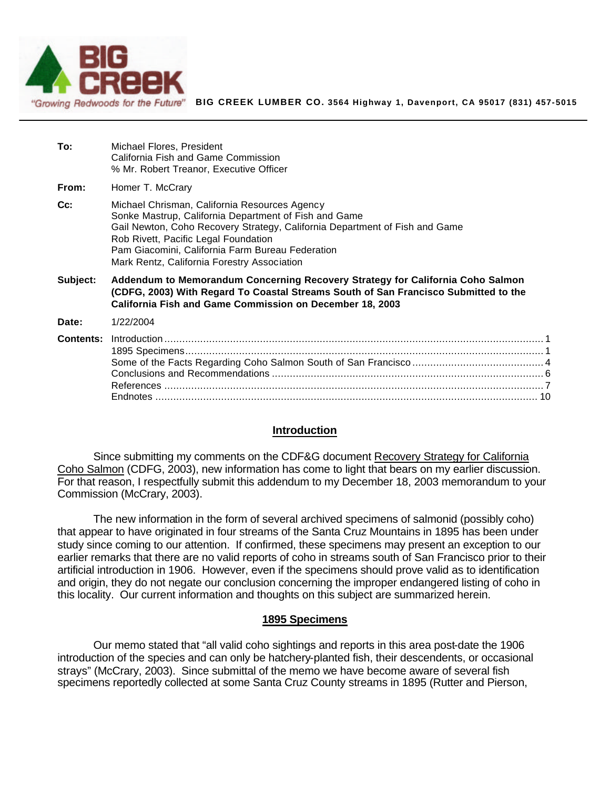

**To:** Michael Flores, President

**BIG CREEK LUMBER CO. 3564 Highway 1, Davenport, CA 95017 (831) 457-5015**

|                  | California Fish and Game Commission<br>% Mr. Robert Treanor, Executive Officer                                                                                                                                                                                                                                                   |    |
|------------------|----------------------------------------------------------------------------------------------------------------------------------------------------------------------------------------------------------------------------------------------------------------------------------------------------------------------------------|----|
| From:            | Homer T. McCrary                                                                                                                                                                                                                                                                                                                 |    |
| $Cc$ :           | Michael Chrisman, California Resources Agency<br>Sonke Mastrup, California Department of Fish and Game<br>Gail Newton, Coho Recovery Strategy, California Department of Fish and Game<br>Rob Rivett, Pacific Legal Foundation<br>Pam Giacomini, California Farm Bureau Federation<br>Mark Rentz, California Forestry Association |    |
| Subject:         | Addendum to Memorandum Concerning Recovery Strategy for California Coho Salmon<br>(CDFG, 2003) With Regard To Coastal Streams South of San Francisco Submitted to the<br>California Fish and Game Commission on December 18, 2003                                                                                                |    |
| Date:            | 1/22/2004                                                                                                                                                                                                                                                                                                                        |    |
| <b>Contents:</b> | <b>Endnotes</b>                                                                                                                                                                                                                                                                                                                  | 10 |

#### **Introduction**

Since submitting my comments on the CDF&G document Recovery Strategy for California Coho Salmon (CDFG, 2003), new information has come to light that bears on my earlier discussion. For that reason, I respectfully submit this addendum to my December 18, 2003 memorandum to your Commission (McCrary, 2003).

The new information in the form of several archived specimens of salmonid (possibly coho) that appear to have originated in four streams of the Santa Cruz Mountains in 1895 has been under study since coming to our attention. If confirmed, these specimens may present an exception to our earlier remarks that there are no valid reports of coho in streams south of San Francisco prior to their artificial introduction in 1906. However, even if the specimens should prove valid as to identification and origin, they do not negate our conclusion concerning the improper endangered listing of coho in this locality. Our current information and thoughts on this subject are summarized herein.

#### **1895 Specimens**

Our memo stated that "all valid coho sightings and reports in this area post-date the 1906 introduction of the species and can only be hatchery-planted fish, their descendents, or occasional strays" (McCrary, 2003). Since submittal of the memo we have become aware of several fish specimens reportedly collected at some Santa Cruz County streams in 1895 (Rutter and Pierson,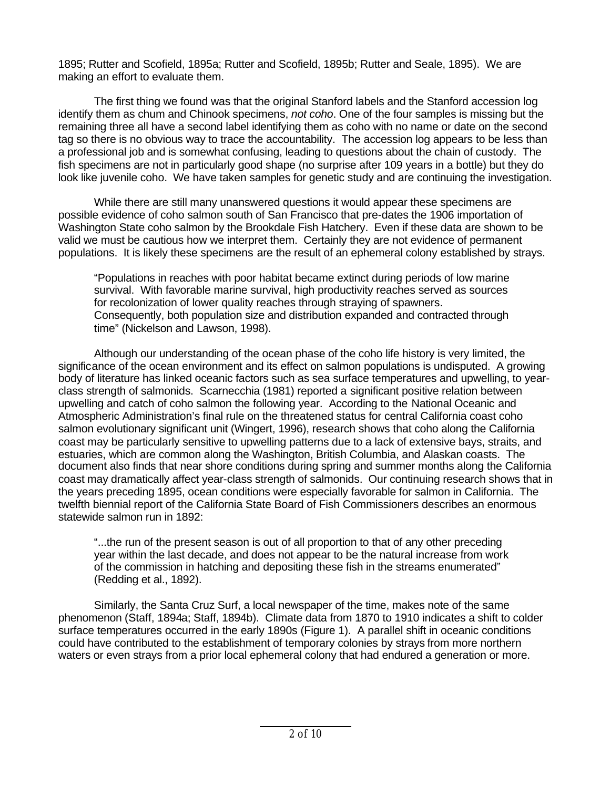1895; Rutter and Scofield, 1895a; Rutter and Scofield, 1895b; Rutter and Seale, 1895). We are making an effort to evaluate them.

The first thing we found was that the original Stanford labels and the Stanford accession log identify them as chum and Chinook specimens, *not coho*. One of the four samples is missing but the remaining three all have a second label identifying them as coho with no name or date on the second tag so there is no obvious way to trace the accountability. The accession log appears to be less than a professional job and is somewhat confusing, leading to questions about the chain of custody. The fish specimens are not in particularly good shape (no surprise after 109 years in a bottle) but they do look like juvenile coho. We have taken samples for genetic study and are continuing the investigation.

While there are still many unanswered questions it would appear these specimens are possible evidence of coho salmon south of San Francisco that pre-dates the 1906 importation of Washington State coho salmon by the Brookdale Fish Hatchery. Even if these data are shown to be valid we must be cautious how we interpret them. Certainly they are not evidence of permanent populations. It is likely these specimens are the result of an ephemeral colony established by strays.

"Populations in reaches with poor habitat became extinct during periods of low marine survival. With favorable marine survival, high productivity reaches served as sources for recolonization of lower quality reaches through straying of spawners. Consequently, both population size and distribution expanded and contracted through time" (Nickelson and Lawson, 1998).

Although our understanding of the ocean phase of the coho life history is very limited, the significance of the ocean environment and its effect on salmon populations is undisputed. A growing body of literature has linked oceanic factors such as sea surface temperatures and upwelling, to yearclass strength of salmonids. Scarnecchia (1981) reported a significant positive relation between upwelling and catch of coho salmon the following year. According to the National Oceanic and Atmospheric Administration's final rule on the threatened status for central California coast coho salmon evolutionary significant unit (Wingert, 1996), research shows that coho along the California coast may be particularly sensitive to upwelling patterns due to a lack of extensive bays, straits, and estuaries, which are common along the Washington, British Columbia, and Alaskan coasts. The document also finds that near shore conditions during spring and summer months along the California coast may dramatically affect year-class strength of salmonids. Our continuing research shows that in the years preceding 1895, ocean conditions were especially favorable for salmon in California. The twelfth biennial report of the California State Board of Fish Commissioners describes an enormous statewide salmon run in 1892:

"...the run of the present season is out of all proportion to that of any other preceding year within the last decade, and does not appear to be the natural increase from work of the commission in hatching and depositing these fish in the streams enumerated" (Redding et al., 1892).

Similarly, the Santa Cruz Surf, a local newspaper of the time, makes note of the same phenomenon (Staff, 1894a; Staff, 1894b). Climate data from 1870 to 1910 indicates a shift to colder surface temperatures occurred in the early 1890s (Figure 1). A parallel shift in oceanic conditions could have contributed to the establishment of temporary colonies by strays from more northern waters or even strays from a prior local ephemeral colony that had endured a generation or more.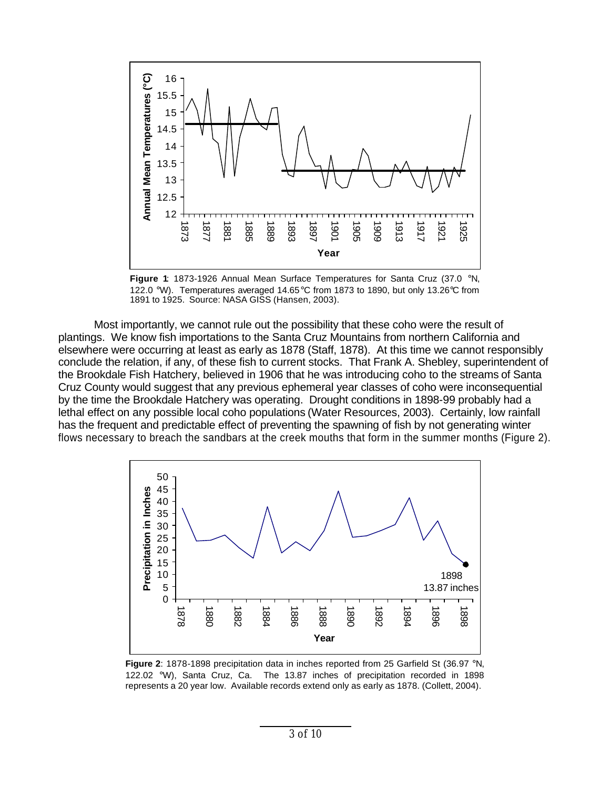

**Figure 1**: 1873-1926 Annual Mean Surface Temperatures for Santa Cruz (37.0 °N, 122.0 °W). Temperatures averaged 14.65°C from 1873 to 1890, but only 13.26°C from 1891 to 1925. Source: NASA GISS (Hansen, 2003).

Most importantly, we cannot rule out the possibility that these coho were the result of plantings. We know fish importations to the Santa Cruz Mountains from northern California and elsewhere were occurring at least as early as 1878 (Staff, 1878). At this time we cannot responsibly conclude the relation, if any, of these fish to current stocks. That Frank A. Shebley, superintendent of the Brookdale Fish Hatchery, believed in 1906 that he was introducing coho to the streams of Santa Cruz County would suggest that any previous ephemeral year classes of coho were inconsequential by the time the Brookdale Hatchery was operating. Drought conditions in 1898-99 probably had a lethal effect on any possible local coho populations (Water Resources, 2003). Certainly, low rainfall has the frequent and predictable effect of preventing the spawning of fish by not generating winter flows necessary to breach the sandbars at the creek mouths that form in the summer months (Figure 2).



**Figure 2**: 1878-1898 precipitation data in inches reported from 25 Garfield St (36.97 °N, 122.02 °W), Santa Cruz, Ca. The 13.87 inches of precipitation recorded in 1898 represents a 20 year low. Available records extend only as early as 1878. (Collett, 2004).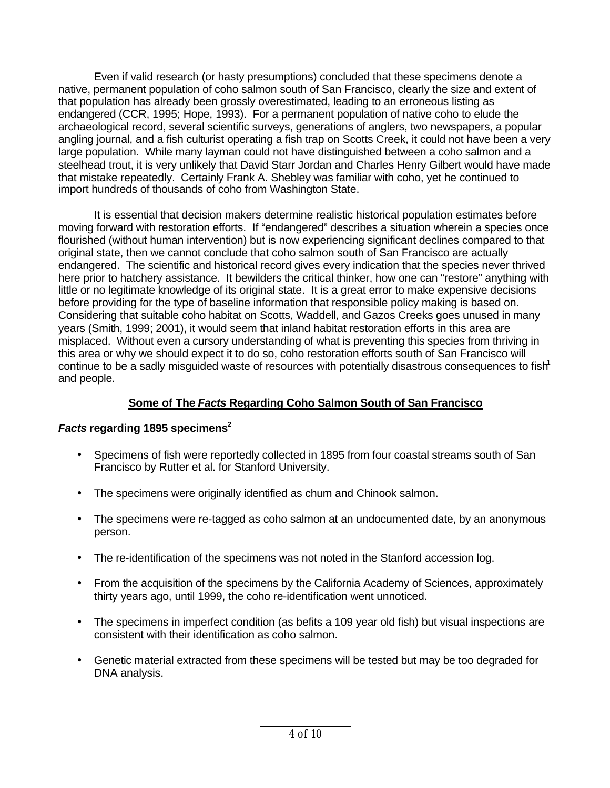Even if valid research (or hasty presumptions) concluded that these specimens denote a native, permanent population of coho salmon south of San Francisco, clearly the size and extent of that population has already been grossly overestimated, leading to an erroneous listing as endangered (CCR, 1995; Hope, 1993). For a permanent population of native coho to elude the archaeological record, several scientific surveys, generations of anglers, two newspapers, a popular angling journal, and a fish culturist operating a fish trap on Scotts Creek, it could not have been a very large population. While many layman could not have distinguished between a coho salmon and a steelhead trout, it is very unlikely that David Starr Jordan and Charles Henry Gilbert would have made that mistake repeatedly. Certainly Frank A. Shebley was familiar with coho, yet he continued to import hundreds of thousands of coho from Washington State.

It is essential that decision makers determine realistic historical population estimates before moving forward with restoration efforts. If "endangered" describes a situation wherein a species once flourished (without human intervention) but is now experiencing significant declines compared to that original state, then we cannot conclude that coho salmon south of San Francisco are actually endangered. The scientific and historical record gives every indication that the species never thrived here prior to hatchery assistance. It bewilders the critical thinker, how one can "restore" anything with little or no legitimate knowledge of its original state. It is a great error to make expensive decisions before providing for the type of baseline information that responsible policy making is based on. Considering that suitable coho habitat on Scotts, Waddell, and Gazos Creeks goes unused in many years (Smith, 1999; 2001), it would seem that inland habitat restoration efforts in this area are misplaced. Without even a cursory understanding of what is preventing this species from thriving in this area or why we should expect it to do so, coho restoration efforts south of San Francisco will continue to be a sadly misguided waste of resources with potentially disastrous consequences to fish<sup>1</sup> and people.

# **Some of The** *Facts* **Regarding Coho Salmon South of San Francisco**

# *Facts* **regarding 1895 specimens<sup>2</sup>**

- Specimens of fish were reportedly collected in 1895 from four coastal streams south of San Francisco by Rutter et al. for Stanford University.
- The specimens were originally identified as chum and Chinook salmon.
- The specimens were re-tagged as coho salmon at an undocumented date, by an anonymous person.
- The re-identification of the specimens was not noted in the Stanford accession log.
- From the acquisition of the specimens by the California Academy of Sciences, approximately thirty years ago, until 1999, the coho re-identification went unnoticed.
- The specimens in imperfect condition (as befits a 109 year old fish) but visual inspections are consistent with their identification as coho salmon.
- Genetic material extracted from these specimens will be tested but may be too degraded for DNA analysis.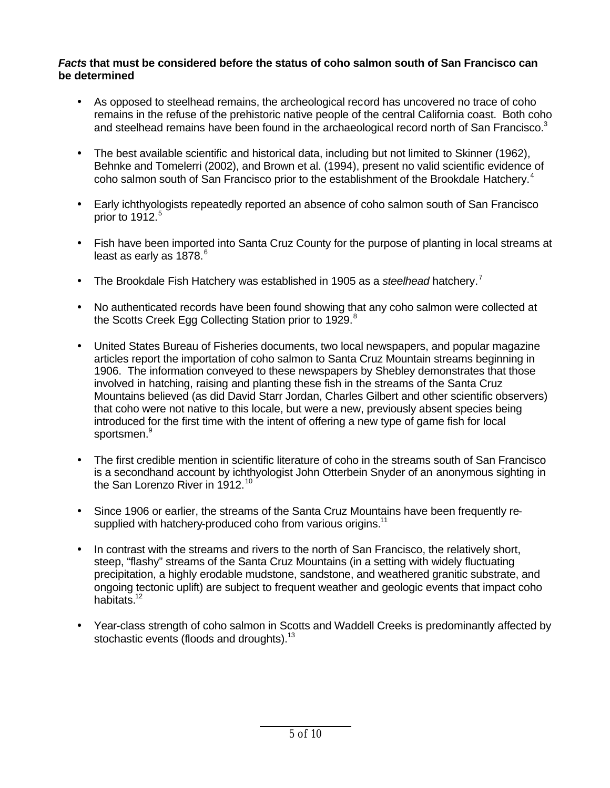### *Facts* **that must be considered before the status of coho salmon south of San Francisco can be determined**

- As opposed to steelhead remains, the archeological record has uncovered no trace of coho remains in the refuse of the prehistoric native people of the central California coast. Both coho and steelhead remains have been found in the archaeological record north of San Francisco. $3$
- The best available scientific and historical data, including but not limited to Skinner (1962), Behnke and Tomelerri (2002), and Brown et al. (1994), present no valid scientific evidence of coho salmon south of San Francisco prior to the establishment of the Brookdale Hatchery.<sup>4</sup>
- Early ichthyologists repeatedly reported an absence of coho salmon south of San Francisco prior to 1912. 5
- Fish have been imported into Santa Cruz County for the purpose of planting in local streams at least as early as 1878.<sup>6</sup>
- The Brookdale Fish Hatchery was established in 1905 as a *steelhead* hatchery.<sup>7</sup>
- No authenticated records have been found showing that any coho salmon were collected at the Scotts Creek Egg Collecting Station prior to 1929.<sup>8</sup>
- United States Bureau of Fisheries documents, two local newspapers, and popular magazine articles report the importation of coho salmon to Santa Cruz Mountain streams beginning in 1906. The information conveyed to these newspapers by Shebley demonstrates that those involved in hatching, raising and planting these fish in the streams of the Santa Cruz Mountains believed (as did David Starr Jordan, Charles Gilbert and other scientific observers) that coho were not native to this locale, but were a new, previously absent species being introduced for the first time with the intent of offering a new type of game fish for local sportsmen.<sup>9</sup>
- The first credible mention in scientific literature of coho in the streams south of San Francisco is a secondhand account by ichthyologist John Otterbein Snyder of an anonymous sighting in the San Lorenzo River in 1912.<sup>10</sup>
- Since 1906 or earlier, the streams of the Santa Cruz Mountains have been frequently resupplied with hatchery-produced coho from various origins.<sup>11</sup>
- In contrast with the streams and rivers to the north of San Francisco, the relatively short, steep, "flashy" streams of the Santa Cruz Mountains (in a setting with widely fluctuating precipitation, a highly erodable mudstone, sandstone, and weathered granitic substrate, and ongoing tectonic uplift) are subject to frequent weather and geologic events that impact coho habitats<sup>12</sup>
- Year-class strength of coho salmon in Scotts and Waddell Creeks is predominantly affected by stochastic events (floods and droughts).<sup>13</sup>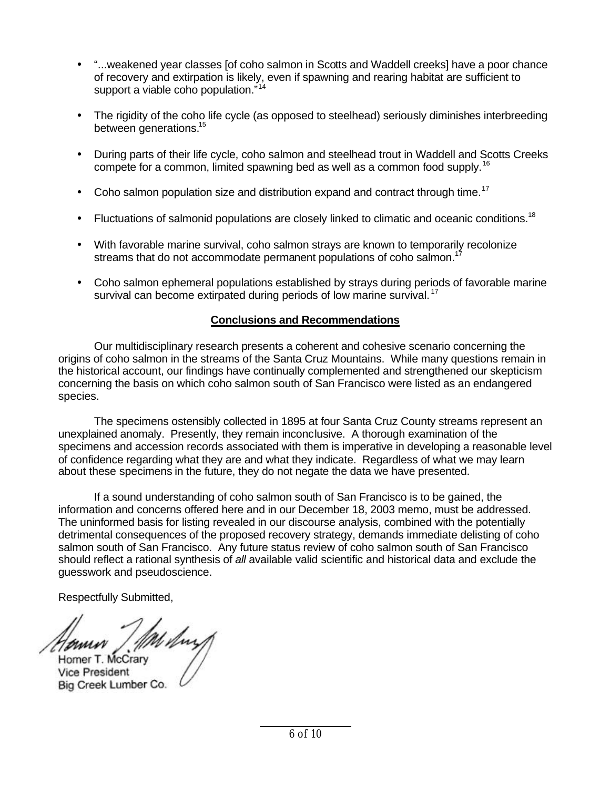- "...weakened year classes [of coho salmon in Scotts and Waddell creeks] have a poor chance of recovery and extirpation is likely, even if spawning and rearing habitat are sufficient to support a viable coho population."<sup>14</sup>
- The rigidity of the coho life cycle (as opposed to steelhead) seriously diminishes interbreeding between generations.<sup>15</sup>
- During parts of their life cycle, coho salmon and steelhead trout in Waddell and Scotts Creeks compete for a common, limited spawning bed as well as a common food supply.<sup>16</sup>
- Coho salmon population size and distribution expand and contract through time.<sup>17</sup>
- Fluctuations of salmonid populations are closely linked to climatic and oceanic conditions.<sup>18</sup>
- With favorable marine survival, coho salmon strays are known to temporarily recolonize streams that do not accommodate permanent populations of coho salmon.<sup>1</sup>
- Coho salmon ephemeral populations established by strays during periods of favorable marine survival can become extirpated during periods of low marine survival.<sup>17</sup>

## **Conclusions and Recommendations**

Our multidisciplinary research presents a coherent and cohesive scenario concerning the origins of coho salmon in the streams of the Santa Cruz Mountains. While many questions remain in the historical account, our findings have continually complemented and strengthened our skepticism concerning the basis on which coho salmon south of San Francisco were listed as an endangered species.

The specimens ostensibly collected in 1895 at four Santa Cruz County streams represent an unexplained anomaly. Presently, they remain inconclusive. A thorough examination of the specimens and accession records associated with them is imperative in developing a reasonable level of confidence regarding what they are and what they indicate. Regardless of what we may learn about these specimens in the future, they do not negate the data we have presented.

If a sound understanding of coho salmon south of San Francisco is to be gained, the information and concerns offered here and in our December 18, 2003 memo, must be addressed. The uninformed basis for listing revealed in our discourse analysis, combined with the potentially detrimental consequences of the proposed recovery strategy, demands immediate delisting of coho salmon south of San Francisco. Any future status review of coho salmon south of San Francisco should reflect a rational synthesis of *all* available valid scientific and historical data and exclude the guesswork and pseudoscience.

Respectfully Submitted,

Homer T. McCrary **Vice President** Big Creek Lumber Co.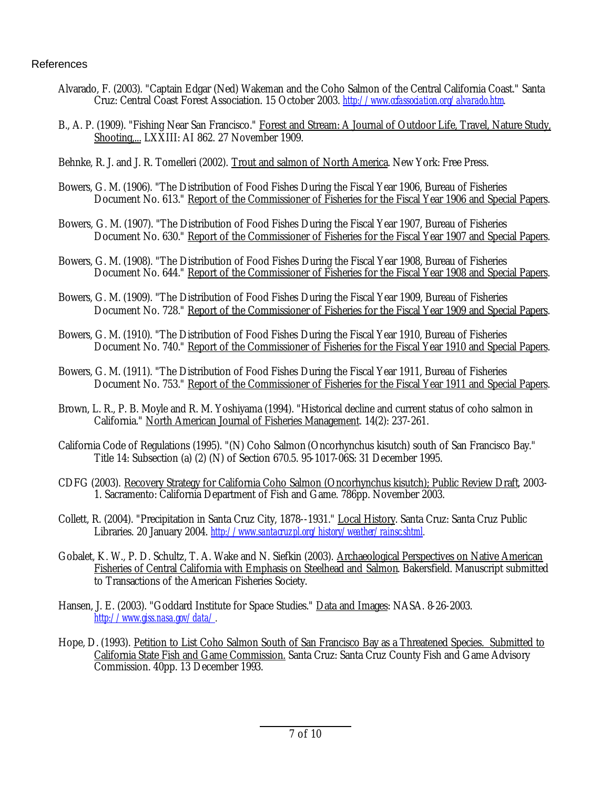#### References

- Alvarado, F. (2003). "Captain Edgar (Ned) Wakeman and the Coho Salmon of the Central California Coast." Santa Cruz: Central Coast Forest Association. 15 October 2003. *http://www.ccfassociation.org/alvarado.htm.*
- B., A. P. (1909). "Fishing Near San Francisco." Forest and Stream: A Journal of Outdoor Life, Travel, Nature Study, Shooting,... LXXIII: AI 862. 27 November 1909.
- Behnke, R. J. and J. R. Tomelleri (2002). Trout and salmon of North America. New York: Free Press.
- Bowers, G. M. (1906). "The Distribution of Food Fishes During the Fiscal Year 1906, Bureau of Fisheries Document No. 613." Report of the Commissioner of Fisheries for the Fiscal Year 1906 and Special Papers.
- Bowers, G. M. (1907). "The Distribution of Food Fishes During the Fiscal Year 1907, Bureau of Fisheries Document No. 630." Report of the Commissioner of Fisheries for the Fiscal Year 1907 and Special Papers.
- Bowers, G. M. (1908). "The Distribution of Food Fishes During the Fiscal Year 1908, Bureau of Fisheries Document No. 644." Report of the Commissioner of Fisheries for the Fiscal Year 1908 and Special Papers.
- Bowers, G. M. (1909). "The Distribution of Food Fishes During the Fiscal Year 1909, Bureau of Fisheries Document No. 728." Report of the Commissioner of Fisheries for the Fiscal Year 1909 and Special Papers.
- Bowers, G. M. (1910). "The Distribution of Food Fishes During the Fiscal Year 1910, Bureau of Fisheries Document No. 740." Report of the Commissioner of Fisheries for the Fiscal Year 1910 and Special Papers.
- Bowers, G. M. (1911). "The Distribution of Food Fishes During the Fiscal Year 1911, Bureau of Fisheries Document No. 753." Report of the Commissioner of Fisheries for the Fiscal Year 1911 and Special Papers.
- Brown, L. R., P. B. Moyle and R. M. Yoshiyama (1994). "Historical decline and current status of coho salmon in California." North American Journal of Fisheries Management. 14(2): 237-261.
- California Code of Regulations (1995). "(N) Coho Salmon (Oncorhynchus kisutch) south of San Francisco Bay." Title 14: Subsection (a) (2) (N) of Section 670.5. 95-1017-06S: 31 December 1995.
- CDFG (2003). Recovery Strategy for California Coho Salmon (Oncorhynchus kisutch); Public Review Draft, 2003- 1. Sacramento: California Department of Fish and Game. 786pp. November 2003.
- Collett, R. (2004). "Precipitation in Santa Cruz City, 1878--1931." Local History. Santa Cruz: Santa Cruz Public Libraries. 20 January 2004. *http://www.santacruzpl.org/history/weather/rainsc.shtml.*
- Gobalet, K. W., P. D. Schultz, T. A. Wake and N. Siefkin (2003). Archaeological Perspectives on Native American Fisheries of Central California with Emphasis on Steelhead and Salmon. Bakersfield. Manuscript submitted to Transactions of the American Fisheries Society.
- Hansen, J. E. (2003). "Goddard Institute for Space Studies." Data and Images: NASA. 8-26-2003. *http://www.giss.nasa.gov/data/.*
- Hope, D. (1993). Petition to List Coho Salmon South of San Francisco Bay as a Threatened Species. Submitted to California State Fish and Game Commission. Santa Cruz: Santa Cruz County Fish and Game Advisory Commission. 40pp. 13 December 1993.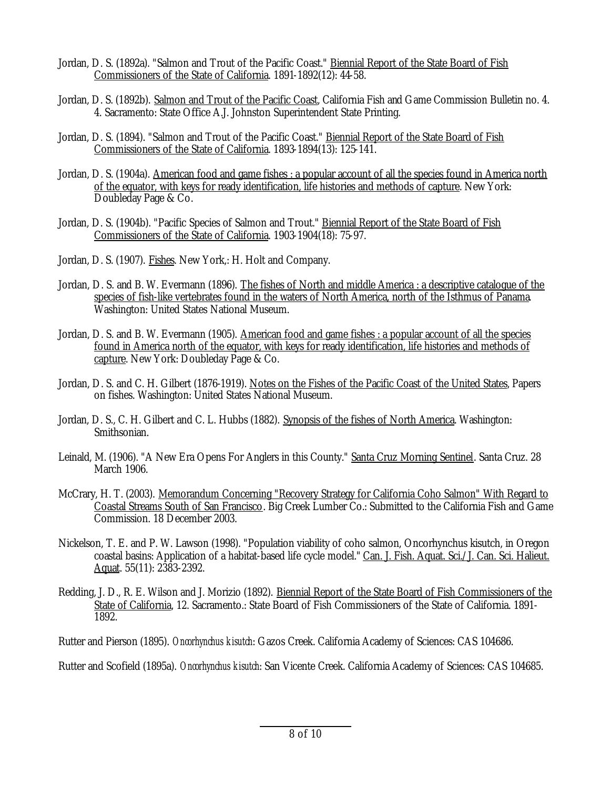- Jordan, D. S. (1892a). "Salmon and Trout of the Pacific Coast." Biennial Report of the State Board of Fish Commissioners of the State of California. 1891-1892(12): 44-58.
- Jordan, D. S. (1892b). Salmon and Trout of the Pacific Coast, California Fish and Game Commission Bulletin no. 4. 4. Sacramento: State Office A.J. Johnston Superintendent State Printing.
- Jordan, D. S. (1894). "Salmon and Trout of the Pacific Coast." Biennial Report of the State Board of Fish Commissioners of the State of California. 1893-1894(13): 125-141.
- Jordan, D. S. (1904a). American food and game fishes : a popular account of all the species found in America north of the equator, with keys for ready identification, life histories and methods of capture. New York: Doubleday Page & Co.
- Jordan, D. S. (1904b). "Pacific Species of Salmon and Trout." Biennial Report of the State Board of Fish Commissioners of the State of California. 1903-1904(18): 75-97.
- Jordan, D. S. (1907). Fishes. New York,: H. Holt and Company.
- Jordan, D. S. and B. W. Evermann (1896). The fishes of North and middle America : a descriptive catalogue of the species of fish-like vertebrates found in the waters of North America, north of the Isthmus of Panama. Washington: United States National Museum.
- Jordan, D. S. and B. W. Evermann (1905). American food and game fishes : a popular account of all the species found in America north of the equator, with keys for ready identification, life histories and methods of capture. New York: Doubleday Page & Co.
- Jordan, D. S. and C. H. Gilbert (1876-1919). Notes on the Fishes of the Pacific Coast of the United States, Papers on fishes. Washington: United States National Museum.
- Jordan, D. S., C. H. Gilbert and C. L. Hubbs (1882). Synopsis of the fishes of North America. Washington: Smithsonian.
- Leinald, M. (1906). "A New Era Opens For Anglers in this County." Santa Cruz Morning Sentinel. Santa Cruz. 28 March 1906.
- McCrary, H. T. (2003). Memorandum Concerning "Recovery Strategy for California Coho Salmon" With Regard to Coastal Streams South of San Francisco. Big Creek Lumber Co.: Submitted to the California Fish and Game Commission. 18 December 2003.
- Nickelson, T. E. and P. W. Lawson (1998). "Population viability of coho salmon, Oncorhynchus kisutch, in Oregon coastal basins: Application of a habitat-based life cycle model." Can. J. Fish. Aquat. Sci./J. Can. Sci. Halieut. Aquat.  $55(11)$ :  $2\overline{38}3 - 2392$ .
- Redding, J. D., R. E. Wilson and J. Morizio (1892). Biennial Report of the State Board of Fish Commissioners of the State of California, 12. Sacramento.: State Board of Fish Commissioners of the State of California. 1891- 1892.

Rutter and Pierson (1895). *Oncorhynchus kisutch*: Gazos Creek. California Academy of Sciences: CAS 104686.

Rutter and Scofield (1895a). *Oncorhynchus kisutch*: San Vicente Creek. California Academy of Sciences: CAS 104685.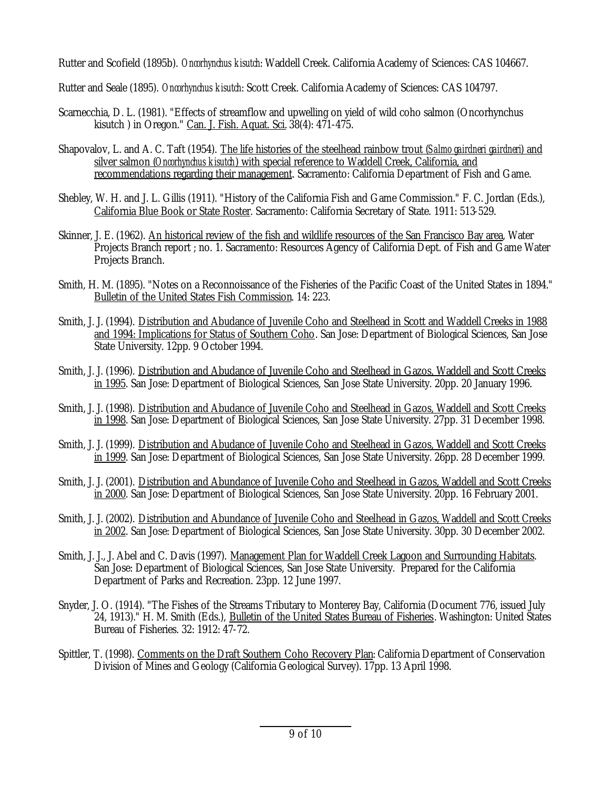Rutter and Scofield (1895b). *Oncorhynchus kisutch*: Waddell Creek. California Academy of Sciences: CAS 104667.

Rutter and Seale (1895). *Oncorhynchus kisutch*: Scott Creek. California Academy of Sciences: CAS 104797.

- Scarnecchia, D. L. (1981). "Effects of streamflow and upwelling on yield of wild coho salmon (Oncorhynchus kisutch ) in Oregon." Can. J. Fish. Aquat. Sci. 38(4): 471-475.
- Shapovalov, L. and A. C. Taft (1954). The life histories of the steelhead rainbow trout (*Salmo gairdneri gairdneri*) and silver salmon (*Oncorhynchus kisutch*) with special reference to Waddell Creek, California, and recommendations regarding their management. Sacramento: California Department of Fish and Game.
- Shebley, W. H. and J. L. Gillis (1911). "History of the California Fish and Game Commission." F. C. Jordan (Eds.), California Blue Book or State Roster. Sacramento: California Secretary of State. 1911: 513-529.
- Skinner, J. E. (1962). An historical review of the fish and wildlife resources of the San Francisco Bay area, Water Projects Branch report ; no. 1. Sacramento: Resources Agency of California Dept. of Fish and Game Water Projects Branch.
- Smith, H. M. (1895). "Notes on a Reconnoissance of the Fisheries of the Pacific Coast of the United States in 1894." Bulletin of the United States Fish Commission. 14: 223.
- Smith, J. J. (1994). Distribution and Abudance of Juvenile Coho and Steelhead in Scott and Waddell Creeks in 1988 and 1994: Implications for Status of Southern Coho. San Jose: Department of Biological Sciences, San Jose State University. 12pp. 9 October 1994.
- Smith, J. J. (1996). Distribution and Abudance of Juvenile Coho and Steelhead in Gazos, Waddell and Scott Creeks in 1995. San Jose: Department of Biological Sciences, San Jose State University. 20pp. 20 January 1996.
- Smith, J. J. (1998). Distribution and Abudance of Juvenile Coho and Steelhead in Gazos, Waddell and Scott Creeks in 1998. San Jose: Department of Biological Sciences, San Jose State University. 27pp. 31 December 1998.
- Smith, J. J. (1999). Distribution and Abudance of Juvenile Coho and Steelhead in Gazos, Waddell and Scott Creeks in 1999. San Jose: Department of Biological Sciences, San Jose State University. 26pp. 28 December 1999.
- Smith, J. J. (2001). Distribution and Abundance of Juvenile Coho and Steelhead in Gazos, Waddell and Scott Creeks in 2000. San Jose: Department of Biological Sciences, San Jose State University. 20pp. 16 February 2001.
- Smith, J. J. (2002). Distribution and Abundance of Juvenile Coho and Steelhead in Gazos, Waddell and Scott Creeks in 2002. San Jose: Department of Biological Sciences, San Jose State University. 30pp. 30 December 2002.
- Smith, J. J., J. Abel and C. Davis (1997). Management Plan for Waddell Creek Lagoon and Surrounding Habitats. San Jose: Department of Biological Sciences, San Jose State University. Prepared for the California Department of Parks and Recreation. 23pp. 12 June 1997.
- Snyder, J. O. (1914). "The Fishes of the Streams Tributary to Monterey Bay, California (Document 776, issued July 24, 1913)." H. M. Smith (Eds.), Bulletin of the United States Bureau of Fisheries. Washington: United States Bureau of Fisheries. 32: 1912: 47-72.
- Spittler, T. (1998). Comments on the Draft Southern Coho Recovery Plan: California Department of Conservation Division of Mines and Geology (California Geological Survey). 17pp. 13 April 1998.